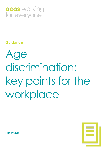

# **Guidance**

# Age discrimination: key points for the workplace

**Febuary 2019**

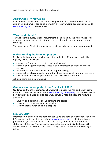# **About Acas – What we do**

Acas provides information, advice, training, conciliation and other services for employers and employees to help prevent or resolve workplace problems. Go to [www.acas.org.uk](http://www.acas.org.uk/) for more details.

# **'Must' and 'should'**

Throughout this guide, a legal requirement is indicated by the word 'must' - for example, an employer must not janore an employee for promotion because of their age.

The word 'should' indicates what Acas considers to be good employment practice.

# **Understanding the term 'employee'**

In discrimination matters such as age, the definition of 'employee' under the Equality Act 2010 includes:

- employees (those with a contract of employment)
- workers and agency workers (those with a contract to do work or provide services)
- apprentices (those with a contract of apprenticeship)
- some self-employed people (where they have to personally perform the work)
- specific groups such as police officers and partners in a business.

Job applicants are also protected.

# **Guidance on other parts of the Equality Act 2010**

Guidance on the other protected characteristics under the Act, and other useful tools and materials can be found at [www.acas.org.uk/equality.](http://www.acas.org.uk/equality) For an overview of how equality legislation applies generally at work, Acas provides the following guidance:

- Equality and discrimination: understand the basics
- Prevent discrimination: support equality
- Discrimination: what to do if it happens.

# **Febuary 2019**

Information in this guide has been revised up to the date of publication. For more information, go to the Acas website at [www.acas.org.uk.](http://www.acas.org.uk/) Legal information is provided for guidance only and should not be regarded as an authoritative statement of the law. The particular circumstances of an individual case will always need to be taken into account. It may, therefore, be wise to seek legal advice.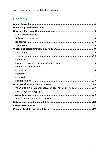# Contents

<span id="page-2-0"></span>

| When different treatment because of age may be allowed  19 |  |
|------------------------------------------------------------|--|
|                                                            |  |
|                                                            |  |
|                                                            |  |
|                                                            |  |
|                                                            |  |
|                                                            |  |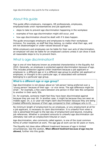# About this guide

This guide offers employers, managers, HR professionals, employees, employee/trade union representatives and job applicants:

- steps to take to prevent age discrimination happening in the workplace
- examples of how age discrimination might still occur, and
- how age discrimination should be dealt with if it does happen.

The guide encourages employers and employees to make their workplaces inclusive. For example, so staff feel they belong, no matter what their age, and are not disadvantaged or under-valued because of age.

While employers and employees can be liable for their own acts of discrimination, an employer will also be liable for an employee's actions unless it can show it took all reasonable steps to try to prevent them.

# <span id="page-3-0"></span>What is age discrimination?

Age is one of nine features known as protected characteristics in the Equality Act 2010. Generally, an employee is protected against discrimination because of age. This includes protection against unfair treatment because a job applicant or employee is: a different age or in a different age group to another job applicant or employee; or thought to be a particular age; or associated with someone belonging to a particular age group.

# **What is a different age or age group?**

Age discrimination is not always about an 'old person' being preferred over a 'young person' because of their age – or vice versa. The age difference might be small – for example, a few years between one person in their late 40s compared to another in their early 50s.

Or, for example, someone might feel they have been discriminated against because they are over 60. In another case, it might be because they are seen as middle-aged. Or, a 21-year-old might claim discrimination because they are being treated differently because of their age compared to their colleague who is 43.

No minimum length of employment by an employee, or any employment at all for a job applicant, is necessary to claim discrimination. It is unlawful from when a role is advertised through to the last day of employment and beyond, including job references. Whether a complaint amounts to unlawful age discrimination can ultimately rest with an employment tribunal or court.

Age discrimination, also commonly called ageism, is one of the most common forms of unfair treatment at work. The age gap at work can be 50 years or more.

<span id="page-3-1"></span>The Equality Act does allow different treatment because of age in limited circumstances. See the section, **When different treatment because of age may be allowed**, further into this guide.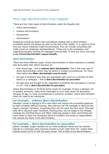# How age discrimination may happen

There are four main types of discrimination under the Equality Act:

- Direct discrimination
- Indirect discrimination
- Harassment
- Victimisation.

Employers should be aware that successfully dealing with a discrimination complaint should not always be seen as the end of the matter. It is useful to think how any future instances might be prevented. This can include consulting with trade unions or employee representatives, if they are in the workplace, and organising equality training for managers and all staff. To find out more, see Acas guide **Prevent discrimination: support equality**.

# <span id="page-4-0"></span>**Direct discrimination**

There are three different types. Direct discrimination is where someone is treated less favourably than others because of:

- their actual age this is **ordinary direct discrimination.** This is the only type of direct discrimination which may be lawful in limited circumstances. For more information see **Where discrimination may be lawful**
- the age of someone else they are associated with, such as a member of their family or a colleague – this is **direct discrimination by association**
- the age they are thought to be, regardless of whether the perception is correct or not - this is **direct discrimination by perception.**

Direct discrimination in all three forms could, for example, involve a decision not to employ someone, make them redundant or turn them down for promotion because of age. In most circumstances it would be unlawful. Direct discrimination does not need to be intentional.

# **For example… ordinary direct discrimination**

Manager Louise is looking to fill a role which will require the successful applicant to then complete difficult training. She instructs her HR manager to discount her team's younger members, presuming they will not want the hard work. She also tells HR to discount older members, thinking they will not adapt to the change. Instead she shortlists Bruce and Mikel, believing people in their mid-thirties are more likely to have the necessary blend of ambition and sense of responsibility. Her actions are likely to be discriminatory.

# **For example… direct discrimination by association**

Senior manager Jurgen decides not to invite employee Sarah and her partner Claude to a business party because Claude is much older than her. Jurgen feels Claude would not fit in with the party mood. This is likely to be discriminatory.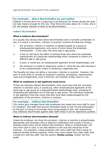# **For example… direct discrimination by perception**

Siobhan is turned down for a supervisor's job because her bosses decide she does not look mature enough for the role. They think she looks about 20. In fact, she is 30. Her bosses' decision is likely to be discriminatory.

# <span id="page-5-0"></span>**Indirect discrimination**

## **What is indirect discrimination?**

It is usually less obvious than direct discrimination and is normally unintended. In law, it is where a 'provision, criterion or practice' involves all these four things:

- 1. the 'provision, criterion or practice' is applied equally to a group of employees/job applicants, only some of whom share the protected characteristic – in this case, the same age or age group
- 2. it has (or will have) the effect of putting those who share the protected characteristic at a particular disadvantage when compared to others of a different age or age group
- 3. it puts, or would put, an employee/job applicant at that disadvantage, and
- 4. the employer is unable to objectively justify it -what the law calls showing it to be a proportionate means of achieving a legitimate aim.

The Equality Act does not define a 'provision, criterion or practice'. However, the term is most likely to include an employer's policies, procedures, requirements, rules and arrangements, even if informal, and whether written down or not.

## **What an employee or job applicant must prove**

If they are claiming indirect discrimination, they must show that the 'provision, criterion or practice' puts, or would put, other employees/job applicants of the same age or age group at a disproportionate disadvantage when compared to employees/job applicants not of that age or age group. The individual employee or job applicant must then show that they have been disadvantaged by the application of the provision, criterion or practice.

## **For example… indirect discrimination**

City centre gym manager Esme tells employees she needs two more staff to work on reception. She adds that anyone interested needs to look 'fit and enthusiastic' as the gym is trying to encourage more young people to join. Her requirement may indirectly discriminate against older staff unless it can be objectively justified.

## **When is indirect discrimination allowed?**

Unless the employer can show the provision, criterion or practice is proportionate, appropriate and necessary (this is objective justification and usually involves a business need) there will be indirect discrimination. What is 'proportionate' will vary from case to case. It can also depend on the size and resources of the business – for example, a large employer with many staff may find it easier to approve flexible working requests, which may come mostly from older staff, than a small firm with few staff. See the section, **Flexible working**, further into this guide.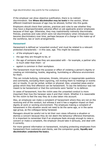If the employer can show objective justification, there is no indirect discrimination. See **Where discrimination may be lawful** in the section, When different treatment because of age may be allowed, further into this guide.

Employers should check their policies, practices and rules to see whether they may have a disproportionately adverse effect on job applicants and/or employees because of their age. Otherwise, they may inadvertently indirectly discriminate. Policies, practices and rules which were not discriminatory when introduced may become discriminatory over time, perhaps because of a change in the make-up of the workforce, law or work arrangements.

#### <span id="page-6-0"></span>**Harassment**

Harassment is defined as 'unwanted conduct' and must be related to a relevant protected characteristic – in this case, age. This might be because:

- of the employee's age, or
- the age they are thought to be, or
- $\bullet$  the age of someone else they are associated with  $-$  for example, a partner who is much older than them - or
- ageism is common in their workplace.

The harassment must have the purpose or effect of violating a person's dignity or creating an intimidating, hostile, degrading, humiliating or offensive environment for them.

This can include bullying, nicknames, threats, intrusive or inappropriate questions and comments, excluding them (ignoring, not inviting them to meetings or events etc) or insults. It can be verbal, written or physical. Also, unwanted jokes and/or gossip which they find offensive can be harassment. To say the behaviour was not meant to be harassment or that the comments were 'banter' is no defence.

In cases of harassment, how the victim sees the unwanted conduct is more important than how the harasser sees it and their intent. Whether it is reasonable for the victim to feel the way they do is also taken into account.

Also, an employee can make a complaint of harassment where they are not on the receiving end of the conduct, but witness it and it has a negative impact on their dignity at work or working environment. The employee making a complaint of harassment in this situation would not need to be the same age, or in the same age group, as the colleague being harassed.

Managers should be careful not to let their own views influence a situation or dismiss a concern because they do not deem the behaviour offensive themselves. It is important to remember that if an employee feels strongly enough to raise a concern or make a complaint, the employer should take it seriously, and deal with it correctly.

For more general information on harassment, including protecting employees from harassment from customers and clients, see the companion guide, **Equality and discrimination: understand the basics.**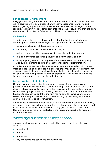# **For example… harassment**

Sixty-year-old Margaret feels humiliated and undermined at the store where she works because of her age. Despite her extensive experience in retailing and recently gaining a qualification as a visual merchandiser, her manager Darren regularly tells her in front of other staff that she is 'out of touch' and that the store needs 'fresh blood'. Darren's behaviour is likely to be harassment.

# <span id="page-7-0"></span>**Victimisation**

Victimisation is when an employee suffers what the law terms a 'detriment' something that causes disadvantage, damage, harm or loss because of:

- making an allegation of discrimination, and/or
- supporting a complaint of discrimination, and/or
- giving evidence relating to a complaint about discrimination, and/or
- raising a grievance concerning equality or discrimination, and/or
- doing anything else for the purposes of (or in connection with) the Equality Act, such as bringing an employment tribunal claim of discrimination.

Victimisation may also occur because an employee is suspected of doing one or more of these things, or because it is believed they may do so. A 'detriment', for example, might include the employee being labelled a 'troublemaker', being left out and ignored, being denied training or promotion, or being made redundant because they supported an age discrimination claim.

# **For example… victimisation**

Manager Alan tells apprentice Reyansh he is happy with his progress and performance. Reyansh then feels confident enough to tell Alan that some of the older employees regularly make fun of him because of his age and play pranks such as leaving toys where he's working. Reyansh wants this to stop. Alan tells Reyansh to toughen up and that the firm has no time for complainers. Some weeks later Alan punishes Reyansh for complaining by cancelling his training course. This is likely to be victimisation.

An employee is protected under the Equality Act from victimisation if they make, or support, or are suspected of supporting, an allegation of discrimination in good faith – even if the information or evidence they give proves to be inaccurate. However, an employee is not protected if they give, or support, information or evidence maliciously.

# <span id="page-7-1"></span>Where age discrimination may happen

Areas of employment where age discrimination may be most likely to occur include:

- recruitment
- training
- promotion
- pay and terms and conditions of employment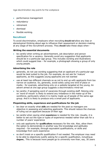- performance management
- redundancy
- **•** retirement
- dismissal
- flexible working.

## <span id="page-8-0"></span>**Recruitment**

To avoid discrimination, employers when recruiting **should not** allow any bias or stereotypical thinking about age to influence their assessment or decision-making at any stage of the recruitment process. They **should** take these steps when -

#### **Writing the essential documents**

 be careful when writing an advertisement, job description and person specification for a vacancy. Generally avoid any suggestion that applicants should be in a particular age group. This includes wording and illustrations which could suggest bias – for example, a photograph showing a group of only young people.

## **Advertising the role**

- generally, do not use wording suggesting that an applicant of a particular age would be best suited to the job. For example, do not ask for 'mature' applicants, as this suggests young applicants are not wanted
- use at least two different channels so as not to end up with applicants from too narrow an audience. So, generally, avoid solely using one kind of place or media - for example, advertising only on a website targeted at the young. An advert aimed at one age group suggests a discriminatory mind-set
- be careful, if spreading word of vacancies through existing staff. Relying only on 'word of mouth' is likely to extend any imbalance in the make-up of the workforce, particularly where it is mainly made up of people of the same age group. And it is likely to produce only a small pool of applicants.

#### **Pinpointing skills, experience and qualifications for the job**

- be clear on exactly what **skills** are needed for the post so managers are objective in assessing and selecting applicants. This should reduce the chances of ruling out an applicant because of their age
- be careful when saying what **experience** is needed for the role. Usually, it is better to set out the type or types of experience needed rather than ask for a number of years' experience
- only ask applicants for **qualifications** necessary for the role. Also, allow them the option to demonstrate in another way the knowledge and aptitudes required – for example, through equivalent qualifications, or skills and knowledge from work experience
- so don't insist on a specific qualification if not needed. The employer may need to be able to objectively justify asking for a specific qualification, including **a degree**,. This is because more people go to university now than, say, 30 years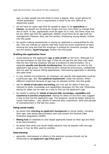ago, so older people are less likely to have a degree. Also, avoid asking for 'recent graduates' – such a requirement is likely to be very difficult to objectively justify

- do not have an upper age limit for people to apply to be **apprentices** or **trainees**, as people are working for longer and now more likely to change their line of work. In law, apprentices must be aged 16 or over, but there must not be any other age limit for applicants. Neither must there be an age limit for management trainees. Also, see the section, Employing young people, further into this guide
- be careful making assessments or saying an applicant is overqualified for the job. This can indicate an opinion that they have too much experience or been working too long and that the employer is looking for someone younger. Also see the section, **Ageist language**, further into this guide.

## **Drafting the application form**

- avoid asking for the applicant's **age or date of birth** on the form. Although it is not discriminatory to ask their age, if they do not get the job they may claim that the fact that the employer did ask is evidence of discrimination. On a separate **equality and diversity monitoring form**, the employer can ask for the applicant's age group. The monitoring form should be anonymous, confidential and not seen by anyone sifting applications, interviewing applicants or deciding who gets hired
- in very limited circumstances, an employer can specify that applicants must be a particular age. See **'Occupational requirements'** under the section, When different treatment because of age may be allowed**,** further into this guide
- ask for **details of education and training,** but only ask for dates if they are relevant to skills, knowledge and capabilities necessary for the role. Otherwise, asking for dates can be seen as a way to find out the applicant's age
- be careful in asking for **details of relevant skills, knowledge, capabilities and experience in previous employment**. Asking for dates on the form may suggest a way to find out the applicant's age. The employer would be better asking for recent information – say, details of relevant jobs, experience, skills and periods of unemployment in the last two years.

#### **Using social media**

- be aware that **checking an applicant's background** on social media, including their age, risks being discriminatory and may breach the General Data Protection Regulation (GDPR)
- **filtering tools** on websites to only target applicants based on their age are likely to be discriminatory
- be aware that while one social media network may be popular with one age group, it may be little used by another.

## **Interviewing**

 generally, interviewers or others in the selection process should not be influenced by **an applicant's age if they give it**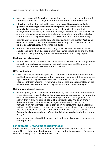- make sure **personal information** requested, either on the application form or in interview, is relevant to the job and/or administration of the recruitment
- interviewers should be trained to know how to **avoid asking discriminatory questions and making discriminatory assumptions**, **and how to ask questions correctly.** For example, interviewers should ask applicants about their management experience, not how they manage people older than themselves. And they should ask applicants to explain an example of when they adapted, rather than what they know about, for instance, a new piece of technology
- get interviewers on a panel to agree to constructively and subtlely **'call each other out'** if one or more of them stereotypes an applicant. See the section, **Risks of age stereotyping**, further into this guide
- those on the interview panel, and/or any other managers or staff involved, should take care when discussing which applicants should go on the shortlist. Talking informally and unguardedly is where discrimination may happen.

## **Seeking job references**

 an employer should be aware that an applicant's referees should not give them a negative job reference because of the applicant's age, and the employer must not discriminate based on that information.

# **Offering the job**

• select and appoint the best applicant – generally, an employer must not rule out the best applicant because of their age, how young or old they look, or the age of someone they are associated with. And it would be discriminatory to offer less attractive terms – for example, six months' probation instead of the usual three - because it is feared they would not fit in because of age.

## **Using a recruitment agency**

 tell the agency it must comply with the Equality Act. Apart from in very limited circumstances of what the law calls an 'occupational requirement' or where the decision can be objectively justified, an employer must not suggest to the agency that it only wants applicants of a particular age. And apart from in these very limited circumstances, an agency must not follow such an instruction or, for example, decide itself to only put forward young applicants. Neither should it pass on the applicant's age to the employer. Both the agency and the employer can be liable for discriminatory acts. See the sections **Occupational requirements** and **Where discrimination may be lawful,** further into this guide

Also, an employer should tell an agency it prefers applicants of a range of ages where possible.

# **For example… recruitment discrimination**

<span id="page-10-0"></span>A firm advertises for graduates who have achieved their degree in the last five years. This is likely to be discriminatory, as proving the business need for such a condition is likely to be difficult in most cases.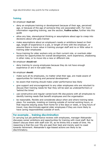# **Training**

An employer **must not**:

- deny an employee training or development because of their age, perceived age, or because of the age of someone they are associated with. For more information regarding training, see the section, **Positive action,** further into this guide
- allow any bias, stereotypical thinking or assumptions about age to creep into decisions about who gets trained
- make assumptions about an employee's needs or ambitions based on their age, length of experience in a job, or length of time with the employer, or assume there is more value in training younger staff and no or little value in training older employees
- focus training for older workers only on their current role, or overlook older workers for opportunities for overall development, work experience, shadowing in other roles, or to move into a new or different role.

An employer **should not**:

 deny training to young employees because they do not have enough experience or are in low-paid roles.

An employer **should**:

- make sure all its employees, no matter what their age, are made aware of opportunities for training and personal development
- be aware that training should make under-performance less likely
- give support and encouragement to any older employees who are reluctant to discuss their training needs for fear they will be seen as underperformers or 'behind the times'
- use constructive and regular career/work-life discussions with all employees to identify training needs that benefit employees and the organisation
- be reasonable, flexible and considerate about when and where training takes place. For example, insisting on training outside of normal working hours, or that requires staying away from home for a few days or week, or long hours of travel, may discriminate against older employees if they are more likely to have caring responsibilities outside of work.

# **For example… training discrimination**

<span id="page-11-0"></span>In carrying out job performance reviews with employees, manager Aleksander discusses career ambitions and opportunities for training with most staff. But he doesn't discuss them with staff over 55, as he thinks this a waste of time. His reasoning is that the over 55s are past their best and merely want to coast towards retirement. Aleksander's age-biased actions are likely to be discriminatory.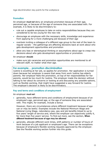# **Promotion**

An employer **must not** deny an employee promotion because of their age, perceived age, or because of the age of someone they are associated with. For example, it is likely to be discriminatory to:

- rule out a capable employee to take on extra responsibilities because they are considered to be too young for the new role
- discourage an employee with the necessary skills, knowledge and experience from applying for a more challenging job because of their age
- overlook inviting a colleague of a different age group to the rest of the team to regular socials – the gatherings are affecting decisions back at work about who gets development opportunities and promotion
- allow any bias or stereotypical thinking or assumptions about age to creep into decisions about who gets development opportunities or promotion.

An employer **should:**

 make sure job vacancies and promotion opportunities are mentioned to all relevant staff, no matter what their age.

# **For example… promotion discrimination**

Justine is excelling at her job, so applies for promotion. Her application is turned down because her employer is aware that away from work Justine has elderly parents. Her employer feels the promotion, on top of her responsibilities for her parents, would be too much for Justine. The employer made the decision without talking to her about its concerns or looking at and discussing any possible options, such as flexible working, that might have suggested a way forward for Justine. The employer's decision is likely to be discriminatory.

## <span id="page-12-0"></span>**Pay and terms and conditions of employment**

An employer **must not**:

 generally, have different terms and conditions of employment because of an employee's age, perceived age, or the age of someone they are associated with. This might, for example, include a bonus

However, there are circumstances where different treatment because of age can or may be lawful. Examples include the National Minimum Wage and National Living Wage, redundancy pay, pay and job benefits linked to up to five years' length of service and, where the employer can objectively justify it, for more than five years' service. To find out more, see the section, **When different treatment because of age may be allowed**

 generally, allocate different work times, shift patterns or number of hours of work because of a job applicant or employee's age. There can be exceptions because of employee's flexible working requests approved by the employer. See the Flexible working section further into this guide.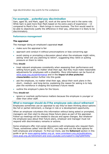# **For example… potential pay discrimination**

Sam, aged 50, and Mark, aged 35, work at the same firm and in the same role. While Sam is paid more than Mark based on his extra years of experience - 13 compared to Mark's five – Mark brings in more business. The firm would need to be able to objectively justify the difference in their pay, otherwise it is likely to be discriminatory.

# <span id="page-13-0"></span>**Performance management**

## **The appraisal**

The manager doing an employee's appraisal **must**:

- make sure the appraisal is fair
- approach and conduct it without preconceptions or bias concerning age
- avoid raising or prompting a discussion about when the employee might retire, asking 'when are you planning to retire?', suggesting they retire or putting pressure on them to retire.

#### They **should**:

- treat relevant employees consistently when assessing their performance and setting future goals, no matter what their age. But they must make reasonable adjustments for employees with a disability. More information can be found at [www.acas.org.uk/performance](http://www.acas.org.uk/performance) and in the **Impact of other protected characteristics** section further into this guide
- ask the employee, no matter what their age, about their work plans in the short-, medium- and long-terms, explaining the reason for asking is to help plan the workforce in shaping the business's future needs
- outline the employer's plans for the future.

## They **should not**:

 ignore or overlook performance matters because the employee is younger or older than other staff.

**What a manager should do if the employee asks about retirement**  Employees sometimes use an appraisal to say they've been thinking about options like full or partial retirement, a change in role or a development opportunity.

When an employee volunteers this information without being asked or prompted, managers can then start to discuss these future plans as part of the appraisal. Follow-up meetings will be needed to discuss and agree changes. But whatever the employee says about their future plans, employer and manager must not respond with discriminatory remarks or actions.

Some employers offer mid-career discussions with employees who request them. These, sometimes called 'mid-life MOTs', can help work out the best options for both employee and employer. To find out more, see the **Retirement** section in this guide or go to [www.ageing-better.org.uk,](http://www.ageing-better.org.uk/) [www.unionlearn.org.uk/publications,](http://www.unionlearn.org.uk/publications) [www.acas.org.uk/retirement](http://www.acas.org.uk/retirement) and [www.youtube.com/watch?v=DgTq5NTKlHU](http://www.youtube.com/watch?v=DgTq5NTKlHU)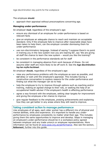The employee **should**:

approach their appraisal without preconceptions concerning age.

# **Managing under-performance**

An employer **must,** regardless of the employee's age:

- ensure any dismissal of an employee for under-performance is based on relevant facts
- give an employee an adequate chance to reach and maintain an acceptable standard. Only if the employee fails to improve after reasonable steps have been taken to help them, can the employer consider dismissing them for under-performance
- use non-discriminatory language. Instead of saying 'I suppose there's no point in training you in the new system now you are nearing 60', say 'We are giving all staff the chance to learn the new system – would you like the training?'
- be consistent in the performance standards set for staff
- be consistent in managing absence from work because of illness. Do not assume older staff are more likely to be off work ill. See the **Age discrimination: top ten myths factsheet.**

An employer **should**, regardless of the employee's age:

- raise any performance problems with the employee as soon as possible, and **not** delay or wait until the employee's appraisal. This includes having a constructive conversation to explore reasons for the under-performance and finding out what the manager can do to help
- help the employee to try to improve through options such as coaching and/or training, making an agreed change to their role, or seeking the help of an occupational health adviser if the employee's health is affecting performance
- agree a way forward with the employee, setting clear targets for improvement and giving the employee a fair chance to improve
- give regular feedback to the employee, praising achievements and explaining how they can get better in any areas where they still need to improve.

# **Taking consistent action to manage performance**

Like employees of all ages, each older worker has a different mix of physical and mental abilities, skills and experience. It's important to handle any underperformance by employees consistently no matter what their age. This includes giving them the same opportunities to improve and develop. Steps in managing an employee's under-performance should be in a workplace policy agreed between employer and any trade union/s or employee representatives. More information can be found at [www.acas.org.uk/performance.](http://www.acas.org.uk/performance) Also see the section, **Retirement**, further into this guide.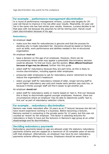# **For example… performance management discrimination**

In a round of performance management reviews, Luciana sets targets for 29 year-old Haruki to improve in his role after poor results. Meanwhile, 63-year-old Joe in the same role has had similar poor results. However, Luciana decides to let that pass with Joe because she assumes he will be retiring soon. Haruki could claim discrimination because of his age.

# <span id="page-15-0"></span>**Redundancy**

An employer **must**:

 make sure the need for redundancies is genuine and that the process for deciding who is made redundant fair. Decisions should be based on factors such as skills, work performance and abilities needed in the re-structured organisation.

An employer **must not**:

- base a decision on the age of an employee. However, there can be circumstances where what may appear a potentially discriminatory decision could be allowed. To find out more, see the section, **When different treatment because of age may be allowed**, further into this guide
- select staff for redundancy because they are part-time, as this is likely to involve discrimination, including against older employees
- pressurise older employees to opt for redundancy and/or retirement to help reduce the organisation's headcount
- select younger staff for redundancy instead of older, longer-serving staff to avoid higher redundancy pay-outs and maybe early pension pay-outs too, or because it thinks younger staff will find it easier to get another job.

An employer **should not**:

 select staff for redundancy solely or mainly based on 'last in, first out' because this is likely to discriminate against younger employees. However, there are circumstances where an employer may be able to objectively justify 'last in, first out' as part of redundancy selection criteria.

# **For example… redundancy discrimination**

Namono was made redundant after 18 years as an IT lecturer because she did not have recent experience working in a business. Before becoming a lecturer, Namono worked in computing in the private sector for 12 years, but this was not counted as 'recent' by her employer. This factor in selecting lecturers for redundancy is likely to have put the lecturers in Namono's age group at an unfair disadvantage and be discriminatory.

# **Deciding redundancy payments**

Redundancy payments based on age are allowed under the statutory redundancy payments scheme and are capped at a maximum of 20 complete years of service with that employer. Alternatively, an employer may have its own redundancy payments scheme offering more money. Employers should be aware that a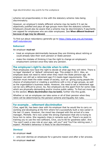scheme not proportionately in line with the statutory scheme risks being discriminatory.

However, an employer's totally different scheme may be lawful if it can be objectively justified and pays all age groups more than the statutory scheme. Employers should also be aware that a scheme may be discriminatory if payments are capped for employees who are older employees. See **When different treatment because of age may be allowed.**

To find out about redundancy generally go to [https://beta.acas.org.uk/manage](https://beta.acas.org.uk/manage-staff-redundancies)[staff-redundancies](https://beta.acas.org.uk/manage-staff-redundancies)

# <span id="page-16-0"></span>**Retirement**

An employer **must not**:

- treat an employee detrimentally because they are thinking about retiring or could already take their work pension or State pension
- make the mistake of thinking it has the right to change an employee's employment contract once they take any pension.

# **The employee's right to decide when to retire**

Most employees now have the right to decide at what age they will retire. There is no legal 'standard' or 'default' retirement age. This ended in 2011. Also, an employee does not need to retire when they reach the State pension age. An employer can still set a retirement age if it meets legal requirements. This decision must meet the wider needs of society, such as giving young people the chance of employment or creating a workforce with a mix of age groups, as well as the organisation's business needs. However, the need to set a retirement age can be very difficult to prove. So, few employers do this apart from for some roles which are physically-demanding and/or involve public safety. To find out more, go to the section**, Where discrimination may be lawful**, further into this guide.

Whether or not an employee can take some or all of their pension when they retire will be determined by the pension scheme and Equality Act rules.

## **For example… retirement discrimination**

Clive, aged 66, has been clear with his employer that he would like to carry on working and developing at the firm where he's successfully built a new career in the last 15 years. However, the mood has changed with the arrival of a new manager, Michelle. He's now under the strong impression that she is trying to force him to retire. She regularly chips in remarks such as 'There's no point in training you to use the new software, Clive, you're 66 for goodness sake'. And 'You won't want a new role at your age, will you?' and 'You'll be retiring soon, I expect'. Michelle's behaviour is likely to be discriminatory.

## <span id="page-16-1"></span>**Dismissal**

An employer **must**:

only ever dismiss an employee for a genuine reason and after a fair process.

An employer **must not**: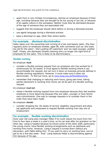- apart from in very limited circumstances, dismiss an employee because of their age, including because they are thought to be too young or too old, or because of an ageist culture in the workplace. Neither must they be dismissed because of the age of someone they are associated with
- suggest that the employee should retire before or during a dismissal process
- use ageist language during a dismissal process
- base a dismissal on age, other than where lawful.

# **For example… dismissal discrimination**

Helen takes over the ownership and running of a hair and beauty salon. She then regularly picks on employee Ginette, aged 58, with comments such as 'she looks too old for the salon', 'she's putting off customers' and 'we need younger, prettier staff'. Finally, she dismisses Ginette claiming she's no longer the right kind of employee for the salon. This is likely to be discriminatory.

## <span id="page-17-0"></span>**Flexible working**

An employer **must**:

- consider a flexible working request from an employee who has worked for it continuously for 26 weeks. It must agree to flexible working where it can accommodate the request, but can turn it down on business grounds defined in flexible working regulations. However, it must make sure it does not discriminate. To find out more, go to [www.acas.org.uk/flexibleworking](http://www.acas.org.uk/flexibleworking)
- remember that changing or reducing work hours, going part-time, taking partial retirement or working from home can all be part of a flexible working request.

An employer **must not**:

 refuse a flexible working request from one employee because they feel another employee is more deserving because they are older, younger or have family care commitments. One way to manage requests is to consider them in the order they have been made.

An employer **should**:

 consider dropping the '26 weeks of service' eligibility requirement and allow job applicants and employees to request flexible working from day one of employment.

# **For example… flexible working discrimination**

Sixty-year-old Liang asks manager Pablo if he could reduce his hours from fulltime to four days a week in a year's time, so he can look after his grandson on the other day. Liang is hopeful because he knows some of the other staff, particularly the young mums, have flexible working arrangements such as jobshares and working from home. However, Liang's request is turned down without any discussion, with Pablo telling him: 'If you want to carry on working here, you've got to do a five-day week - final'. Liang believes Pablo is discriminating against him because of his age.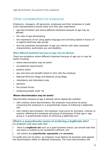# <span id="page-18-0"></span>Other considerations for everyone

Employers, managers, HR personnel, employees and their employee or trade union representatives should make sure they also understand:

- age discrimination and where different treatment because of age may be allowed
- the risks of age stereotyping
- the importance of not using ageist language and not being biased in favour of or against particular age groups
- how the protected characteristic of age can interact with other protected characteristics, particularly sex and disability.

## <span id="page-18-1"></span>**When different treatment because of age may be allowed**

There are exceptions where different treatment because of age can or may be lawful including:

- where discrimination may be lawful
- occupational requirements
- positive action
- pay and extra job benefits linked to time with the employer
- National Minimum Wage and National Living Wage
- redundancy and redundancy pay
- $\cdot$  pensions
- **the Armed Forces**
- **•** employing people under 18.

#### **Where discrimination may be lawful**

Discrimination because of age is allowed where objectively justified:

- with ordinary direct discrimination, the employer must prove its action concerning the employee is 'a proportionate means of achieving a legitimate aim'
- with indirect discrimination, the employer must prove its 'provision, criterion or practice' affecting the employee and group of employees of that age or age group is 'a proportionate means of achieving a legitimate aim'.

**What is a proportionate means of achieving a legitimate aim?** An employer must show both that:

- there is **a legitimate aim** such as a good business reason, but should note that cost alone is unlikely to be considered sufficient, and
- the actions are **proportionate, appropriate** and **necessary**.

To justify this sort of action, an employer must balance its business need against the discriminatory effect on affected employees. The more discriminatory the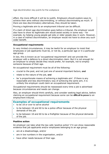effect, the more difficult it will be to justify. Employers should explore ways to achieve their aims without discriminating, or without discriminating as much. If there are less discriminatory alternatives, they should be taken.

Proving a legitimate aim to an employment tribunal can be difficult.

If a claim of direct age discrimination goes before a tribunal, the employer would also have to show its legitimate aim would assist society in some way – for example, by helping young people get jobs or older people stay in work. However, in a case of indirect discrimination, an employer would not have to show any such wider benefit.

## **Occupational requirements**

In very limited circumstances, it may be lawful for an employer to insist that employees or job applicants must be, or not be, a particular age or in a particular age group.

In law, this is known as an 'occupational requirement' and can provide the employer with a defence to a direct discrimination claim. But it is not enough for an employer to simply decide they would prefer, for example, not to employ someone because of their age.

An occupational requirement must be all of the following:

- crucial to the post, and not just one of several important factors, **and**
- relate to the nature of the job, **and**
- be 'a proportionate means of achieving a legitimate aim'. If there is any reasonable and less discriminatory way of achieving the same aim, it is unlikely the employer could claim an occupational requirement.

Occupational requirements should be reassessed every time a job is advertised because circumstances and needs can change.

Also, an employer should think carefully, and consider seeking legal advice, before claiming an occupational requirement because some can be **difficult to prove** to an employment tribunal.

# **Examples of occupational requirements**

- to be 18 or over to serve alcohol
- to be between 18 and 60 to be a police officer because of the physical demands of the job
- to be between 18 and 60 to be a firefighter because of the physical demands of the job.

## **Positive action**

An employer can take what the law calls 'positive action' if it can show reasonable evidence that job applicants and/or employees belonging to an age group:

- are at a disadvantage, and/or
- are in low numbers in the organisation, and/or
- have other needs because of their age.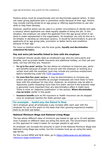Positive action must be proportionate and not discriminate against others. It does not mean giving applicants jobs or promotion solely because of their age. Actions may include training aimed at an age group or offering opportunities to use new skills to help them develop.

However, positive action can be used in a certain circumstance to decide who gets a vacancy where applicants are rated equally capable of doing the job. In this situation, the employer can select the applicant from the age group which it can show is under-represented in the organisation. An employer can only do this as a tie-breaker in deciding an individual vacancy. It would be discriminatory to give all applicants of an age group jobs, promotion or better terms and conditions because of their age.

For more on positive action, see the Acas guide, **Equality and discrimination: understand the basics.**

## **Pay and extra job benefits linked to time with the employer**

An employer should usually base an employee's pay and any extra perks and benefits, such as private health insurance and additional holiday, on their job and skills, not how old they are. However:

- **For up to five years' service,** the law allows an employer to improve pay, perks and benefits because of length of service with the employer or working at a certain level with the employer (and may include any previous employment before transferring under the [TUPE regulations\)](http://www.acas.org.uk/tupe)
- **For more than five years' service**, it may be discriminatory to increase pay and/or add perks and benefits as younger employees are more likely to have been with the employer for less time. However, an employer may be able to objectively justify rewarding more than five years' service if the business need is genuinely more important than any discriminatory effect it might have. There is more on 'objective justification' in the section, **Where discrimination may be lawful,** earlier in this guide
- **Insurance benefits** such as life insurance or health insurance can be stopped once an employee reaches the State pension age.

# **For example… lawful pay rise linked to time**

Jen's employer gives all employees a pay increase after each year with the employer for up to five years on the basis that their growing experience enables them to do their job better.

## **National Minimum Wage and National Living Wage**

The law allows different rates of minimum pay based on age up to 25 and applies even if people on different rates are doing the same job. The Government decided on this approach to make it easier for younger people to get work.

An employer can increase the amounts in each of the National Minimum Wage and National Living Wage pay scales, but the increases must go up using the same age bands.

For the current NMW and NLW rates, go to [https://beta.acas.org.uk/national](https://beta.acas.org.uk/national-minimum-wage-entitlement)[minimum-wage-entitlement](https://beta.acas.org.uk/national-minimum-wage-entitlement)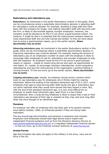## **Redundancy and redundancy pay**

**Redundancy:** As mentioned in the earlier Redundancy section in this guide, there can be circumstances where a potentially discriminatory decision in selecting staff for redundancy could be allowed. For example, deciding to keep staff who have been with the company for longer, and making redundant staff with less time with the firm, is likely to discriminate against younger employees. However, the company could be allowed to do this if it can prove a good business reason. For instance, it might be that it is essential that the restructured company keeps its most experienced staff who are fully trained and skilled. To find out more about how to prove a good business reason, go to the earlier section, **Where discrimination may be lawful.**

**Enhancing redundancy pay:** As mentioned in the earlier Redundancy section in this guide, there can be circumstances where a potentially discriminatory decision in improving redundancy pay could be allowed. For example, basing the amount of redundancy pay on an employee's number of years with the employer is likely to encourage older employees to opt for redundancy and younger employees to stay with the employer. An employer could do this if it can prove a good business reason or reasons – maybe to reward long service and open up opportunities for new talent. Or, maybe, to encourage voluntary redundancies, avoid compulsory redundancies and give the restructuring of the organisation a positive feeling in moving forward. To find out more, go to the earlier section, **Where discrimination may be lawful.**

**Capping redundancy pay:** Usually, an employer should avoid a scheme which looks to cap redundancy pay for employees who it thinks might be nearing retirement. Before the ending of the standard retirement age of 65 in 2011, some employers had caps so long-serving older staff would only get a redundancy payout which matched what they would have earned had they stayed in work. But, with the end of the standard retirement age, it is now more difficult for an employer to justify fixed retirement ages, apart from in a few limited circumstances. Now, a long-serving employee is likely to argue that a cap on their redundancy pay because of their age is unlawful as they may well work long after what was once thought of as retirement age.

## **Pensions**

An employer can offer an employee who has been part of its pension scheme since before October, 2006, an enhanced pension if they are being made redundant.

The law around age discrimination and pensions is extensive and complex. Employers and employees should seek legal advice and/or expert and independent financial guidance such as from the Pensions Advisory Service at [www.pensionsadvisoryservice.org.uk/](http://www.pensionsadvisoryservice.org.uk/) or a regulated independent financial adviser – to find out more, go to the Financial Conduct Authority at [www.fca.org.uk/](http://www.fca.org.uk/)

## **Armed Forces**

Age discrimination law does not apply to the military in the army, navy and air force in the UK.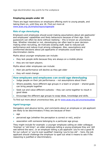# **Employing people under 18**

There are legal restrictions on employers offering work to young people, and taking them on, until they are 18. Find out more at [www.acas.org.uk/employingyoungpeople](http://www.acas.org.uk/employingyoungpeople)

## <span id="page-22-0"></span>**Risks of age stereotyping**

Employers and employees should avoid making assumptions about job applicants' and employees' capabilities and likely behaviours because of their age. Such guesswork can often be done without realising – this is known as unconscious bias. Whether intended or not, stereotyping can often lead to poor decisionmaking when recruiting, de-motivate existing staff, lead to reduced job performance and reduce trust among colleagues. Also, assumptions and uninformed decisions about job applicants or employees could lead to discrimination claims.

Myths about younger employees can include:

- they lack people skills because they are always on a mobile phone
- they are not team players.

Myths about older employees can include:

- their job performance will decline as they get older
- they will resist change.

# **How employers and employees can avoid age stereotyping**

- Judge people on their job performance not assumptions about them
- Where possible, have different age groups in a team or project shared goals can bring people together
- Seek out and value different outlooks they can come together to result in good ideas
- Encourage the different age groups to swap ideas, knowledge and skills.

To find out more about unconscious bias, go to [www.acas.org.uk/unconsciousbias](http://www.acas.org.uk/unconsciousbias)

## <span id="page-22-1"></span>**Ageist language**

Derogatory and abusive terms, and comments about an employee or job applicant are likely to be discriminatory if they are because of their:

- age
- perceived age (whether the perception is correct or not), and/or
- association with someone belonging to a particular age group.

They might include for example: a younger employee calling an older colleague 'Gramps' or 'old timer'; an older employee telling a young employee they are 'still wet behind the ears'; or an employer telling a job applicant 'you're not a good fit for our culture' or 'you're over-qualified' meaning 'you're too old' – here, the job applicant should challenge the employer to spell out what it means to see if the reasoning is justified or discriminatory.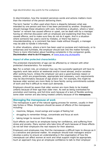In discrimination, how the recipient perceives words and actions matters more than the intention of the person delivering them.

The term 'banter' is often used when there is disparity between what was intended by one person and how it has been perceived by another. Employers should manage these situations with care. Sometimes a situation, where a 'joke', 'banter' or remark has caused offence or upset, can be dealt with by a manager having an informal discussion with an employee and explaining that they have caused offence, and to make sure they do not do it again. And in a situation where someone has used a word by mistake, or there has been a misunderstanding, or a comment has been made without thought, a manager may be able to handle it informally.

In other situations, where a term has been used on purpose and maliciously, or to embarrass and humiliate, the employer should look into the matter formally. There is more information about handling complaints in the companion guide, **Discrimination: what to do if it happens**, at [www.acas.org.uk/equality](http://www.acas.org.uk/equality)

# <span id="page-23-0"></span>**Impact of other protected characteristics**

The protected characteristic of age can be affected by or interact with other protected characteristics. For example:

**Sex:** For a certain role, an employer may say the successful applicant will have to regularly work late and/or at weekends and/or travel abroad, and/or socialise after working hours. Unless the employer can give a good business reason or reasons, which are proportionate, appropriate and necessary, such requirements may be discriminatory because of age and/or sex. For example, this might be because older women are more likely to have family caring commitments outside of work and find it difficult to meet such demands.

Employers should be aware that older women are more likely to be treated unfairly because of their age than older men. As well as being overlooked for promotion and training, and full-time work because of a lack of flexible working, some older women are also being treated unfairly because of the **menopause**.

## **Managing the menopause at work**

The menopause is part of the natural ageing process for women, usually in their late forties or fifties. Employers should be aware of effects of the menopause including:

- insomnia, fatigue, mood swings and surges of feeling hot
- struggling to remember things, concentrate and focus at work
- taking longer to recover from illness.

Such effects can lead to an employee losing her confidence, and suffering from stress and anxiety. Many women who take time off work because of these effects do not tell their employers the real reasons for their absence.

Employers and employees may find the menopause a difficult topic to discuss as it is a sensitive and personal matter. An employer should train managers and/or develop a policy to ensure an understanding in the organisation of how the menopause can affect women at work and what support might be appropriate. Such an approach may give an employee confidence to talk to their employer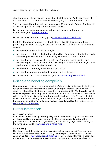about any issues they have or support they feel they need. And it may prevent discrimination claims from female employees going through the menopause.

There are more than three million women over 50 working in Britain. The impact of the menopause can vary from woman to woman.

For guidance for union reps on supporting working women through the menopause, go to [www.tuc.org.uk](http://www.tuc.org.uk/)

For advice on sex discrimination, go to [www.acas.org.uk/sexdiscrim](http://www.acas.org.uk/sexdiscrim)

**Disability:** The risk of an employee developing a disability increases with age, particularly once over 50. A job applicant or employee must not be discriminated against:

- because they have a disability, and/or
- because of something linked to their disability for example, it might be to do with being off work ill or difficulty coping with a certain task - and/or
- because they need 'reasonable adjustments' to remove or minimise their disadvantage at work caused by their disability – for example, this might be in applying for a job or to stay in work - or
- because they are thought to have a disability, or
- because they are associated with someone with a disability.

For advice on disability discrimination, go to [www.acas.org.uk/disability](http://www.acas.org.uk/disability)

# <span id="page-24-0"></span>Raising and handling complaints

How an employee should raise a complaint of alleged discrimination, including the option of raising the matter with a trade union representative, and how the employer should handle it, are explained in companion guide **Discrimination: what to do if it happens.** Also, employers should be aware that after dealing successfully with a complaint of discrimination, there can be further steps. For example, it is useful to think of how any future instances might be prevented. Find out more in the companion guide, **Prevent discrimination: support equality**. Both guides are at [www.acas.org.uk/equality](http://www.acas.org.uk/equality)

# <span id="page-24-1"></span>Further information

#### **Acas learning online**

Acas offers free e-learning. The Equality and diversity course gives: an overview of what equality and diversity mean; why they are important; putting the principles into practice in an organisation; and a test to gauge understanding of the key points. Go to [www.acas.org.uk/elearning](http://www.acas.org.uk/elearning)

#### **Acas training**

Our Equality and diversity training is carried out by experienced Acas staff who work with businesses every day. Training can be specially designed for smaller companies. Go to [www.acas.org.uk/training](http://www.acas.org.uk/training) for up-to-date information about our training and booking places on face-to-face courses. Also, Acas specialists can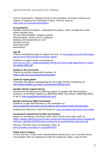visit an organisation, diagnose issues in its workplace, and tailor training and support to address the challenges it faces. Find out more at [www.acas.org.uk/businesssolutions](http://www.acas.org.uk/businesssolutions)

#### **Acas guidance**

Equality and discrimination: understand the basics, which includes the public sector equality duty Prevent discrimination: support equality Discrimination: what to do if it happens Bullying and harassment at work Flexible working Recruiting staff Redundancy

## **Age UK**

Charity campaigning against ageism at work, at [www.ageuk.org.uk/information](http://www.ageuk.org.uk/information-advice/work-learning/discrimination-rights/)[advice/work-learning/discrimination-rights/](http://www.ageuk.org.uk/information-advice/work-learning/discrimination-rights/)

Guidance on age-friendly recruitment at www.rec.uk.com/ data/assets/pdf file/0013/215221/Age-Opportunity-4-page-[A4-pledge-WEB.pdf](http://www.rec.uk.com/__data/assets/pdf_file/0013/215221/Age-Opportunity-4-page-A4-pledge-WEB.pdf)

#### **Business in the Community**

Charity promoting responsible business, at <https://age.bitc.org.uk/BusinessChampion>

#### **Centre for Ageing Better**

Charitable foundation campaigning for more age-friendly workplaces, at [www.ageing-better.org.uk/our-work/being-fulfilling-work](http://www.ageing-better.org.uk/our-work/being-fulfilling-work)

#### **Equality Advisory Support Service**

Government-funded service offering support to people with discrimination concerns, at the EASS helpline on 0808 800 0082 (Text phone: 0808 800 0084) or go to [www.equalityadvisoryservice.com/](http://www.equalityadvisoryservice.com/)

#### **Equality and Human Rights Commission**

Guidance on age discrimination in the workplace on [www.equalityhumanrights.com/en/advice-and-guidance/age-discrimination](http://www.equalityhumanrights.com/en/advice-and-guidance/age-discrimination)

Employment Statutory Code of Practice on [www.equalityhumanrights.com/codes](http://www.equalityhumanrights.com/codes)

#### **Government's Department for Work and Pensions**

Report on managing a workforce when there will be more older staff, at [https://assets.publishing.service.gov.uk/government/uploads/system/uploads/att](https://assets.publishing.service.gov.uk/government/uploads/system/uploads/attachment_data/file/587654/fuller-working-lives-a-partnership-approach.pdf) [achment\\_data/file/587654/fuller-working-lives-a-partnership-approach.pdf](https://assets.publishing.service.gov.uk/government/uploads/system/uploads/attachment_data/file/587654/fuller-working-lives-a-partnership-approach.pdf)

Having a mid-life career conversation video, at [www.youtube.com/watch?v=DgTq5NTKlHU](http://www.youtube.com/watch?v=DgTq5NTKlHU)

#### **Trades Union Congress**

To find out how a trade union representative should carry out a mid-life career conversation with an employee to help the employee make a case to their